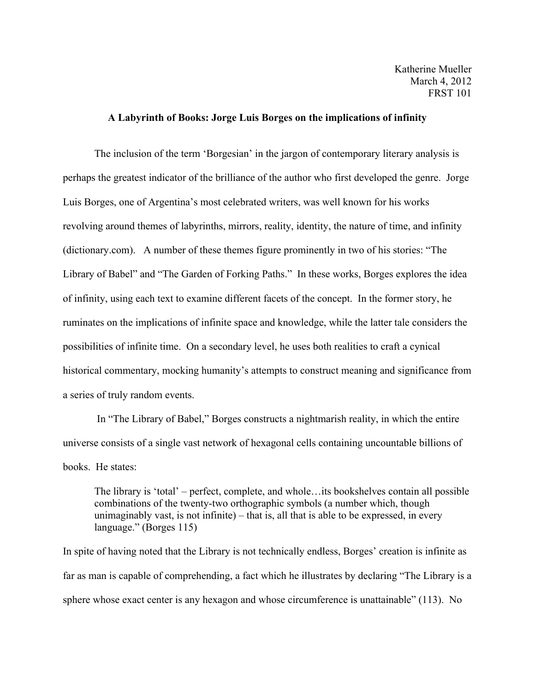## **A Labyrinth of Books: Jorge Luis Borges on the implications of infinity**

The inclusion of the term 'Borgesian' in the jargon of contemporary literary analysis is perhaps the greatest indicator of the brilliance of the author who first developed the genre. Jorge Luis Borges, one of Argentina's most celebrated writers, was well known for his works revolving around themes of labyrinths, mirrors, reality, identity, the nature of time, and infinity (dictionary.com). A number of these themes figure prominently in two of his stories: "The Library of Babel" and "The Garden of Forking Paths." In these works, Borges explores the idea of infinity, using each text to examine different facets of the concept. In the former story, he ruminates on the implications of infinite space and knowledge, while the latter tale considers the possibilities of infinite time. On a secondary level, he uses both realities to craft a cynical historical commentary, mocking humanity's attempts to construct meaning and significance from a series of truly random events.

In "The Library of Babel," Borges constructs a nightmarish reality, in which the entire universe consists of a single vast network of hexagonal cells containing uncountable billions of books. He states:

The library is 'total' – perfect, complete, and whole…its bookshelves contain all possible combinations of the twenty-two orthographic symbols (a number which, though unimaginably vast, is not infinite) – that is, all that is able to be expressed, in every language." (Borges 115)

In spite of having noted that the Library is not technically endless, Borges' creation is infinite as far as man is capable of comprehending, a fact which he illustrates by declaring "The Library is a sphere whose exact center is any hexagon and whose circumference is unattainable" (113). No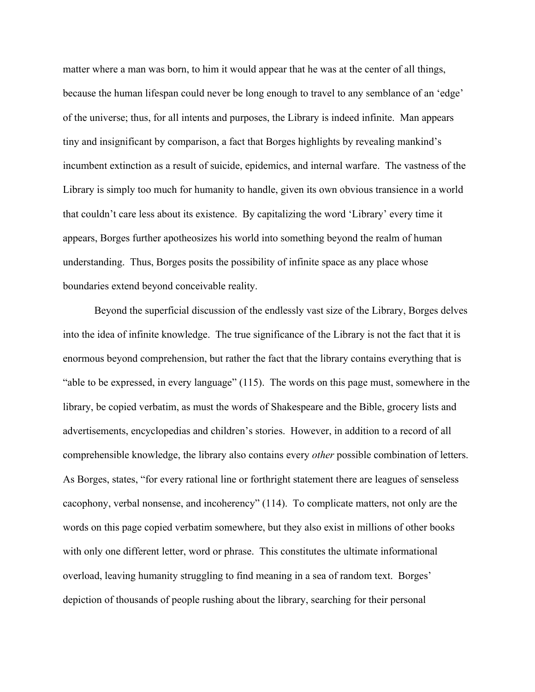matter where a man was born, to him it would appear that he was at the center of all things, because the human lifespan could never be long enough to travel to any semblance of an 'edge' of the universe; thus, for all intents and purposes, the Library is indeed infinite. Man appears tiny and insignificant by comparison, a fact that Borges highlights by revealing mankind's incumbent extinction as a result of suicide, epidemics, and internal warfare. The vastness of the Library is simply too much for humanity to handle, given its own obvious transience in a world that couldn't care less about its existence. By capitalizing the word 'Library' every time it appears, Borges further apotheosizes his world into something beyond the realm of human understanding. Thus, Borges posits the possibility of infinite space as any place whose boundaries extend beyond conceivable reality.

Beyond the superficial discussion of the endlessly vast size of the Library, Borges delves into the idea of infinite knowledge. The true significance of the Library is not the fact that it is enormous beyond comprehension, but rather the fact that the library contains everything that is "able to be expressed, in every language" (115). The words on this page must, somewhere in the library, be copied verbatim, as must the words of Shakespeare and the Bible, grocery lists and advertisements, encyclopedias and children's stories. However, in addition to a record of all comprehensible knowledge, the library also contains every *other* possible combination of letters. As Borges, states, "for every rational line or forthright statement there are leagues of senseless cacophony, verbal nonsense, and incoherency" (114). To complicate matters, not only are the words on this page copied verbatim somewhere, but they also exist in millions of other books with only one different letter, word or phrase. This constitutes the ultimate informational overload, leaving humanity struggling to find meaning in a sea of random text. Borges' depiction of thousands of people rushing about the library, searching for their personal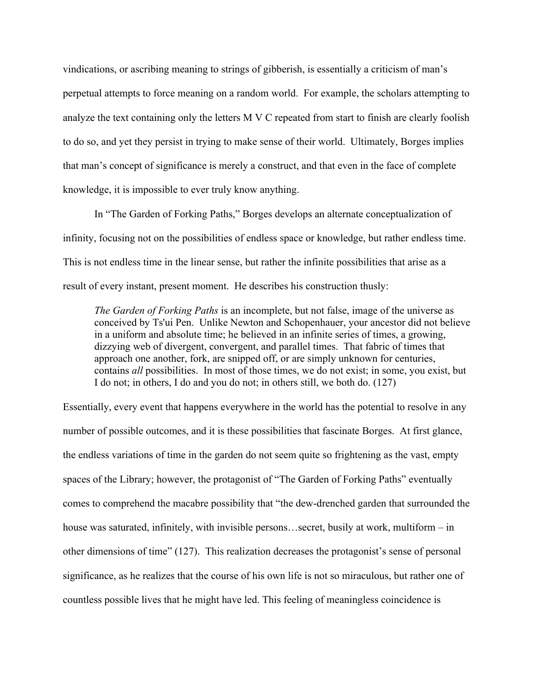vindications, or ascribing meaning to strings of gibberish, is essentially a criticism of man's perpetual attempts to force meaning on a random world. For example, the scholars attempting to analyze the text containing only the letters M V C repeated from start to finish are clearly foolish to do so, and yet they persist in trying to make sense of their world. Ultimately, Borges implies that man's concept of significance is merely a construct, and that even in the face of complete knowledge, it is impossible to ever truly know anything.

In "The Garden of Forking Paths," Borges develops an alternate conceptualization of infinity, focusing not on the possibilities of endless space or knowledge, but rather endless time. This is not endless time in the linear sense, but rather the infinite possibilities that arise as a result of every instant, present moment. He describes his construction thusly:

*The Garden of Forking Paths* is an incomplete, but not false, image of the universe as conceived by Ts'ui Pen. Unlike Newton and Schopenhauer, your ancestor did not believe in a uniform and absolute time; he believed in an infinite series of times, a growing, dizzying web of divergent, convergent, and parallel times. That fabric of times that approach one another, fork, are snipped off, or are simply unknown for centuries, contains *all* possibilities. In most of those times, we do not exist; in some, you exist, but I do not; in others, I do and you do not; in others still, we both do. (127)

Essentially, every event that happens everywhere in the world has the potential to resolve in any number of possible outcomes, and it is these possibilities that fascinate Borges. At first glance, the endless variations of time in the garden do not seem quite so frightening as the vast, empty spaces of the Library; however, the protagonist of "The Garden of Forking Paths" eventually comes to comprehend the macabre possibility that "the dew-drenched garden that surrounded the house was saturated, infinitely, with invisible persons...secret, busily at work, multiform – in other dimensions of time" (127). This realization decreases the protagonist's sense of personal significance, as he realizes that the course of his own life is not so miraculous, but rather one of countless possible lives that he might have led. This feeling of meaningless coincidence is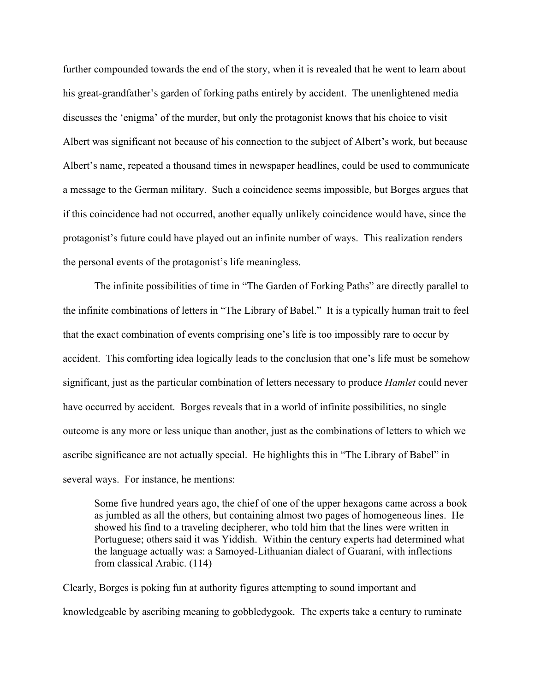further compounded towards the end of the story, when it is revealed that he went to learn about his great-grandfather's garden of forking paths entirely by accident. The unenlightened media discusses the 'enigma' of the murder, but only the protagonist knows that his choice to visit Albert was significant not because of his connection to the subject of Albert's work, but because Albert's name, repeated a thousand times in newspaper headlines, could be used to communicate a message to the German military. Such a coincidence seems impossible, but Borges argues that if this coincidence had not occurred, another equally unlikely coincidence would have, since the protagonist's future could have played out an infinite number of ways. This realization renders the personal events of the protagonist's life meaningless.

The infinite possibilities of time in "The Garden of Forking Paths" are directly parallel to the infinite combinations of letters in "The Library of Babel." It is a typically human trait to feel that the exact combination of events comprising one's life is too impossibly rare to occur by accident. This comforting idea logically leads to the conclusion that one's life must be somehow significant, just as the particular combination of letters necessary to produce *Hamlet* could never have occurred by accident. Borges reveals that in a world of infinite possibilities, no single outcome is any more or less unique than another, just as the combinations of letters to which we ascribe significance are not actually special. He highlights this in "The Library of Babel" in several ways. For instance, he mentions:

Some five hundred years ago, the chief of one of the upper hexagons came across a book as jumbled as all the others, but containing almost two pages of homogeneous lines. He showed his find to a traveling decipherer, who told him that the lines were written in Portuguese; others said it was Yiddish. Within the century experts had determined what the language actually was: a Samoyed-Lithuanian dialect of Guaraní, with inflections from classical Arabic. (114)

Clearly, Borges is poking fun at authority figures attempting to sound important and knowledgeable by ascribing meaning to gobbledygook. The experts take a century to ruminate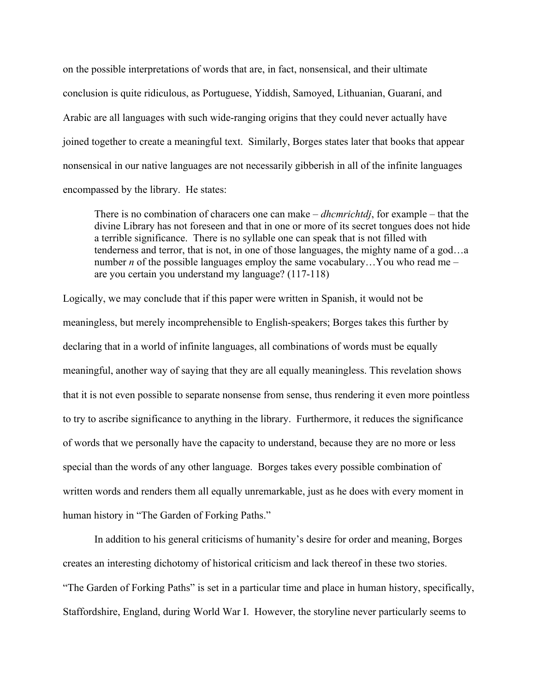on the possible interpretations of words that are, in fact, nonsensical, and their ultimate conclusion is quite ridiculous, as Portuguese, Yiddish, Samoyed, Lithuanian, Guaraní, and Arabic are all languages with such wide-ranging origins that they could never actually have joined together to create a meaningful text. Similarly, Borges states later that books that appear nonsensical in our native languages are not necessarily gibberish in all of the infinite languages encompassed by the library. He states:

There is no combination of characers one can make – *dhcmrichtdj*, for example – that the divine Library has not foreseen and that in one or more of its secret tongues does not hide a terrible significance. There is no syllable one can speak that is not filled with tenderness and terror, that is not, in one of those languages, the mighty name of a god…a number *n* of the possible languages employ the same vocabulary...You who read me – are you certain you understand my language? (117-118)

Logically, we may conclude that if this paper were written in Spanish, it would not be meaningless, but merely incomprehensible to English-speakers; Borges takes this further by declaring that in a world of infinite languages, all combinations of words must be equally meaningful, another way of saying that they are all equally meaningless. This revelation shows that it is not even possible to separate nonsense from sense, thus rendering it even more pointless to try to ascribe significance to anything in the library. Furthermore, it reduces the significance of words that we personally have the capacity to understand, because they are no more or less special than the words of any other language. Borges takes every possible combination of written words and renders them all equally unremarkable, just as he does with every moment in human history in "The Garden of Forking Paths."

In addition to his general criticisms of humanity's desire for order and meaning, Borges creates an interesting dichotomy of historical criticism and lack thereof in these two stories. "The Garden of Forking Paths" is set in a particular time and place in human history, specifically, Staffordshire, England, during World War I. However, the storyline never particularly seems to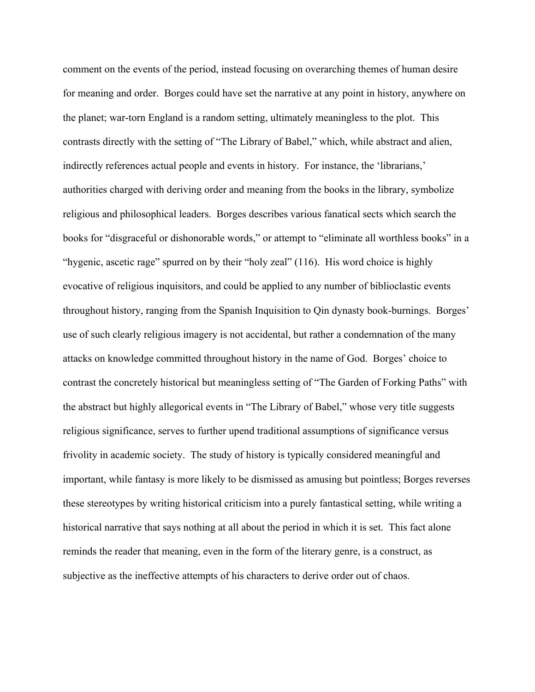comment on the events of the period, instead focusing on overarching themes of human desire for meaning and order. Borges could have set the narrative at any point in history, anywhere on the planet; war-torn England is a random setting, ultimately meaningless to the plot. This contrasts directly with the setting of "The Library of Babel," which, while abstract and alien, indirectly references actual people and events in history. For instance, the 'librarians,' authorities charged with deriving order and meaning from the books in the library, symbolize religious and philosophical leaders. Borges describes various fanatical sects which search the books for "disgraceful or dishonorable words," or attempt to "eliminate all worthless books" in a "hygenic, ascetic rage" spurred on by their "holy zeal" (116). His word choice is highly evocative of religious inquisitors, and could be applied to any number of biblioclastic events throughout history, ranging from the Spanish Inquisition to Qin dynasty book-burnings. Borges' use of such clearly religious imagery is not accidental, but rather a condemnation of the many attacks on knowledge committed throughout history in the name of God. Borges' choice to contrast the concretely historical but meaningless setting of "The Garden of Forking Paths" with the abstract but highly allegorical events in "The Library of Babel," whose very title suggests religious significance, serves to further upend traditional assumptions of significance versus frivolity in academic society. The study of history is typically considered meaningful and important, while fantasy is more likely to be dismissed as amusing but pointless; Borges reverses these stereotypes by writing historical criticism into a purely fantastical setting, while writing a historical narrative that says nothing at all about the period in which it is set. This fact alone reminds the reader that meaning, even in the form of the literary genre, is a construct, as subjective as the ineffective attempts of his characters to derive order out of chaos.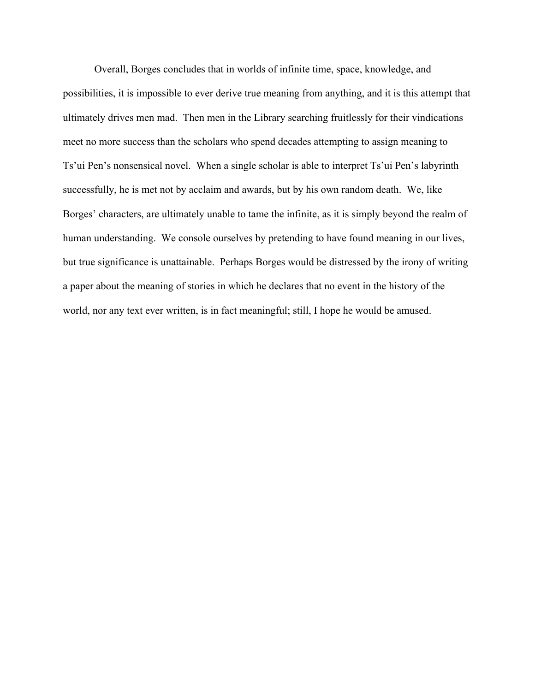Overall, Borges concludes that in worlds of infinite time, space, knowledge, and possibilities, it is impossible to ever derive true meaning from anything, and it is this attempt that ultimately drives men mad. Then men in the Library searching fruitlessly for their vindications meet no more success than the scholars who spend decades attempting to assign meaning to Ts'ui Pen's nonsensical novel. When a single scholar is able to interpret Ts'ui Pen's labyrinth successfully, he is met not by acclaim and awards, but by his own random death. We, like Borges' characters, are ultimately unable to tame the infinite, as it is simply beyond the realm of human understanding. We console ourselves by pretending to have found meaning in our lives, but true significance is unattainable. Perhaps Borges would be distressed by the irony of writing a paper about the meaning of stories in which he declares that no event in the history of the world, nor any text ever written, is in fact meaningful; still, I hope he would be amused.